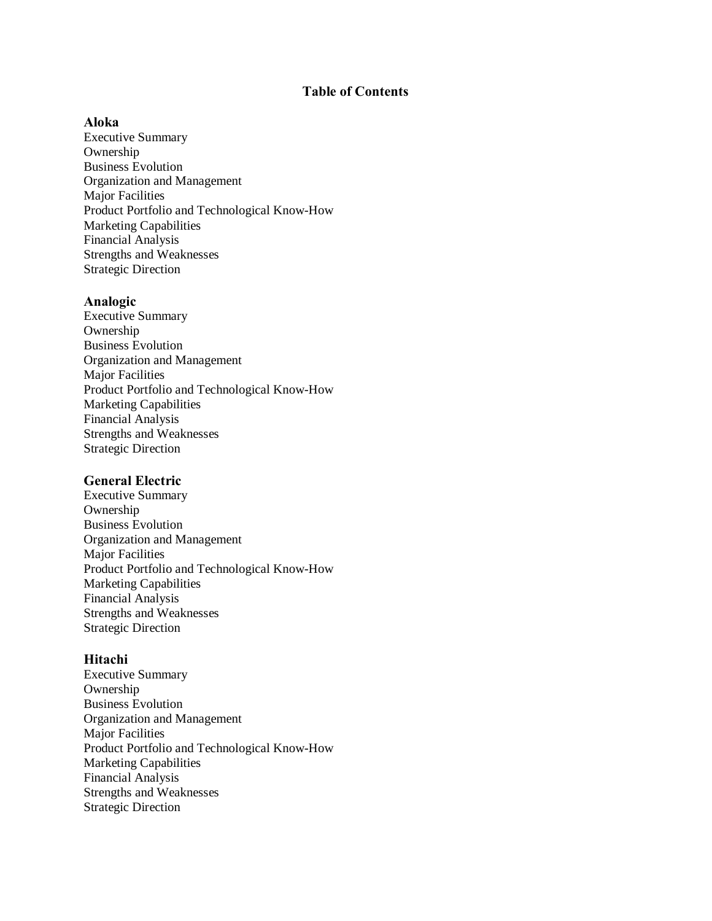# **Table of Contents**

# **Aloka**

Executive Summary Ownership Business Evolution Organization and Management Major Facilities Product Portfolio and Technological Know-How Marketing Capabilities Financial Analysis Strengths and Weaknesses Strategic Direction

## **Analogic**

Executive Summary Ownership Business Evolution Organization and Management Major Facilities Product Portfolio and Technological Know-How Marketing Capabilities Financial Analysis Strengths and Weaknesses Strategic Direction

#### **General Electric**

Executive Summary Ownership Business Evolution Organization and Management Major Facilities Product Portfolio and Technological Know-How Marketing Capabilities Financial Analysis Strengths and Weaknesses Strategic Direction

#### **Hitachi**

Executive Summary Ownership Business Evolution Organization and Management Major Facilities Product Portfolio and Technological Know-How Marketing Capabilities Financial Analysis Strengths and Weaknesses Strategic Direction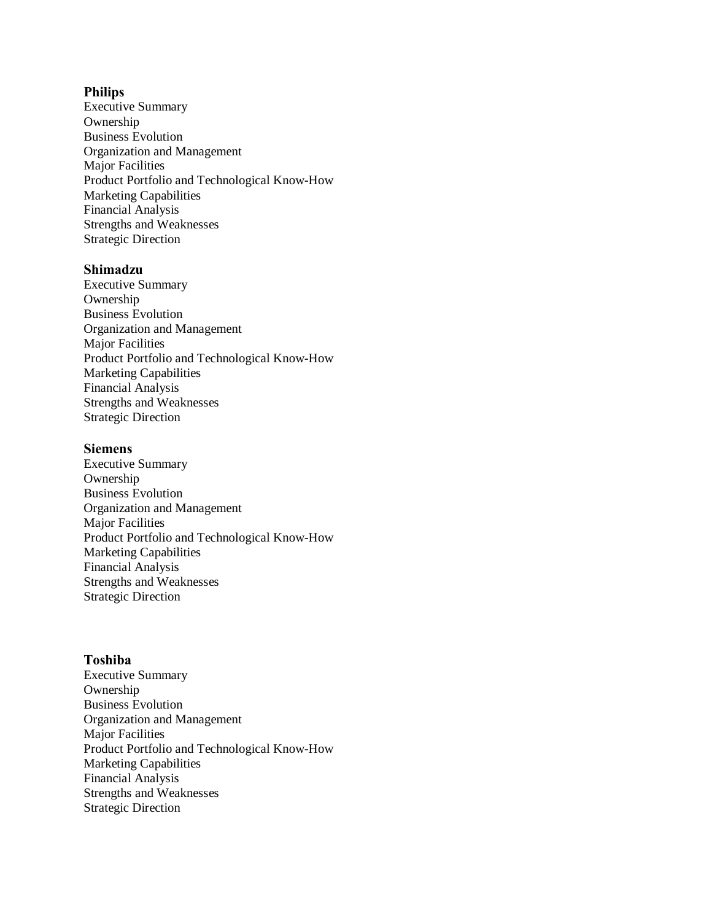## **Philips**

Executive Summary Ownership Business Evolution Organization and Management Major Facilities Product Portfolio and Technological Know-How Marketing Capabilities Financial Analysis Strengths and Weaknesses Strategic Direction

### **Shimadzu**

Executive Summary Ownership Business Evolution Organization and Management Major Facilities Product Portfolio and Technological Know-How Marketing Capabilities Financial Analysis Strengths and Weaknesses Strategic Direction

### **Siemens**

Executive Summary Ownership Business Evolution Organization and Management Major Facilities Product Portfolio and Technological Know-How Marketing Capabilities Financial Analysis Strengths and Weaknesses Strategic Direction

## **Toshiba**

Executive Summary Ownership Business Evolution Organization and Management Major Facilities Product Portfolio and Technological Know-How Marketing Capabilities Financial Analysis Strengths and Weaknesses Strategic Direction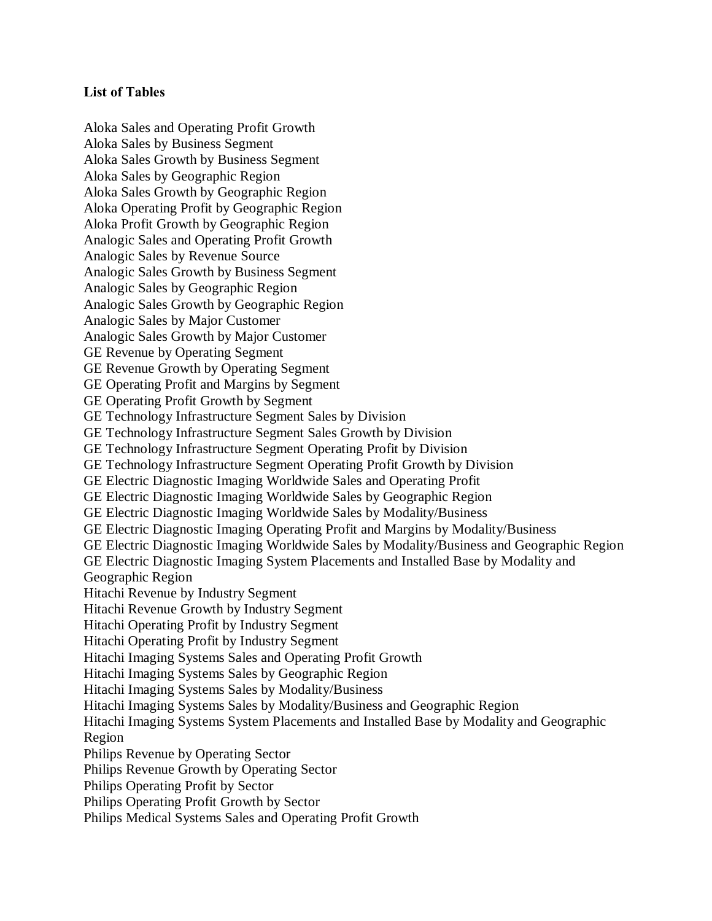# **List of Tables**

Aloka Sales and Operating Profit Growth Aloka Sales by Business Segment Aloka Sales Growth by Business Segment Aloka Sales by Geographic Region Aloka Sales Growth by Geographic Region Aloka Operating Profit by Geographic Region Aloka Profit Growth by Geographic Region Analogic Sales and Operating Profit Growth Analogic Sales by Revenue Source Analogic Sales Growth by Business Segment Analogic Sales by Geographic Region Analogic Sales Growth by Geographic Region Analogic Sales by Major Customer Analogic Sales Growth by Major Customer GE Revenue by Operating Segment GE Revenue Growth by Operating Segment GE Operating Profit and Margins by Segment GE Operating Profit Growth by Segment GE Technology Infrastructure Segment Sales by Division GE Technology Infrastructure Segment Sales Growth by Division GE Technology Infrastructure Segment Operating Profit by Division GE Technology Infrastructure Segment Operating Profit Growth by Division GE Electric Diagnostic Imaging Worldwide Sales and Operating Profit GE Electric Diagnostic Imaging Worldwide Sales by Geographic Region GE Electric Diagnostic Imaging Worldwide Sales by Modality/Business GE Electric Diagnostic Imaging Operating Profit and Margins by Modality/Business GE Electric Diagnostic Imaging Worldwide Sales by Modality/Business and Geographic Region GE Electric Diagnostic Imaging System Placements and Installed Base by Modality and Geographic Region Hitachi Revenue by Industry Segment Hitachi Revenue Growth by Industry Segment Hitachi Operating Profit by Industry Segment Hitachi Operating Profit by Industry Segment Hitachi Imaging Systems Sales and Operating Profit Growth Hitachi Imaging Systems Sales by Geographic Region Hitachi Imaging Systems Sales by Modality/Business Hitachi Imaging Systems Sales by Modality/Business and Geographic Region Hitachi Imaging Systems System Placements and Installed Base by Modality and Geographic Region Philips Revenue by Operating Sector Philips Revenue Growth by Operating Sector Philips Operating Profit by Sector Philips Operating Profit Growth by Sector Philips Medical Systems Sales and Operating Profit Growth